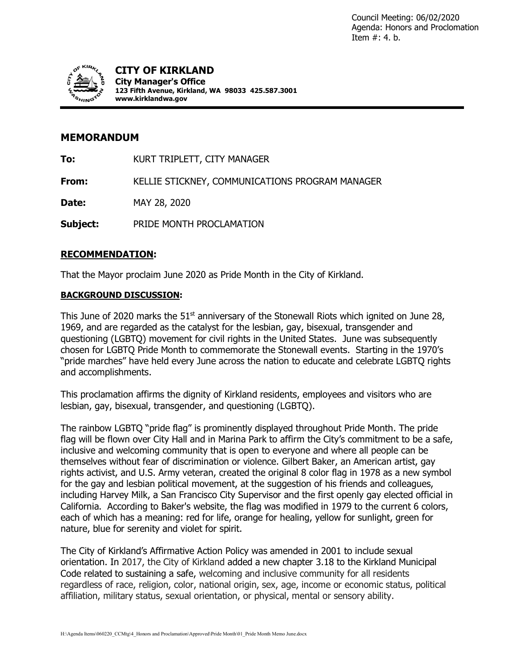

## **MEMORANDUM**

**To:** KURT TRIPLETT, CITY MANAGER

**From:** KELLIE STICKNEY, COMMUNICATIONS PROGRAM MANAGER

**Date:** MAY 28, 2020

**Subject:** PRIDE MONTH PROCLAMATION

## **RECOMMENDATION:**

That the Mayor proclaim June 2020 as Pride Month in the City of Kirkland.

## **BACKGROUND DISCUSSION:**

This June of 2020 marks the  $51<sup>st</sup>$  anniversary of the Stonewall Riots which ignited on June 28, 1969, and are regarded as the catalyst for the lesbian, gay, bisexual, transgender and questioning (LGBTQ) movement for civil rights in the United States. June was subsequently chosen for LGBTQ Pride Month to commemorate the Stonewall events. Starting in the 1970's "pride marches" have held every June across the nation to educate and celebrate LGBTQ rights and accomplishments.

This proclamation affirms the dignity of Kirkland residents, employees and visitors who are lesbian, gay, bisexual, transgender, and questioning (LGBTQ).

The rainbow LGBTQ "pride flag" is prominently displayed throughout Pride Month. The pride flag will be flown over City Hall and in Marina Park to affirm the City's commitment to be a safe, inclusive and welcoming community that is open to everyone and where all people can be themselves without fear of discrimination or violence. Gilbert Baker, an American artist, gay rights activist, and U.S. Army veteran, created the original 8 color flag in 1978 as a new symbol for the gay and lesbian political movement, at the suggestion of his friends and colleagues, including Harvey Milk, a San Francisco City Supervisor and the first openly gay elected official in California. According to Baker's website, the flag was modified in 1979 to the current 6 colors, each of which has a meaning: red for life, orange for healing, yellow for sunlight, green for nature, blue for serenity and violet for spirit.

The City of Kirkland's Affirmative Action Policy was amended in 2001 to include sexual orientation. In 2017, the City of Kirkland added a new chapter 3.18 to the Kirkland Municipal Code related to sustaining a safe, welcoming and inclusive community for all residents regardless of race, religion, color, national origin, sex, age, income or economic status, political affiliation, military status, sexual orientation, or physical, mental or sensory ability.